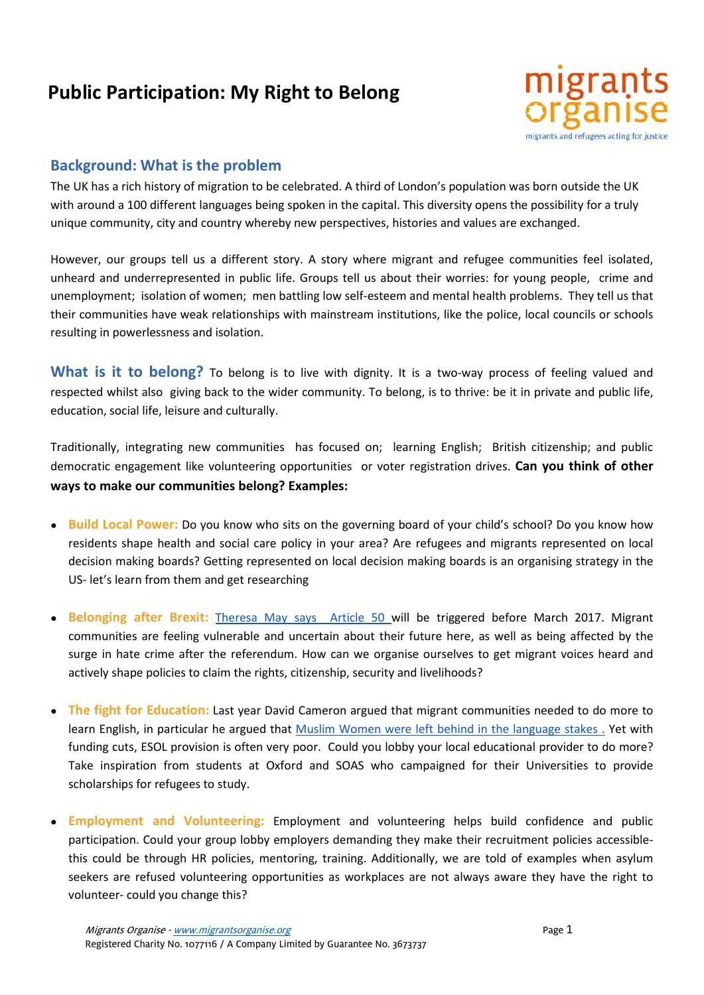# **Public Participation: My Right to Belong**



#### **Background: What is the problem**

The UK has a rich history of migration to be celebrated. A third of London's population was born outside the UK with around a 100 different languages being spoken in the capital. This diversity opens the possibility for a truly unique community, city and country whereby new perspectives, histories and values are exchanged.

However, our groups tell us a different story. A story where migrant and refugee communities feel isolated, unheard and underrepresented in public life. Groups tell us about their worries: for young people, crime and unemployment; isolation of women; men battling low self-esteem and mental health problems. They tell us that their communities have weak relationships with mainstream institutions, like the police, local councils or schools resulting in powerlessness and isolation.

What is it to belong? To belong is to live with dignity. It is a two-way process of feeling valued and respected whilst also giving back to the wider community. To belong, is to thrive: be it in private and public life, education, social life, leisure and culturally.

Traditionally, integrating new communities has focused on; learning English; British citizenship; and public democratic engagement like volunteering opportunities or voter registration drives. **Can you think of other ways to make our communities belong? Examples:** 

- **Build Local Power:** Do you know who sits on the governing board of your child's school? Do you know how residents shape health and social care policy in your area? Are refugees and migrants represented on local decision making boards? Getting represented on local decision making boards is an organising strategy in the US- let's learn from them and get researching
- **Belonging after Brexit:** [Theresa May says Article 50 w](http://www.bbc.co.uk/news/uk-politics-37532364)ill be triggered before March 2017. Migrant communities are feeling vulnerable and uncertain about their future here, as well as being affected by the surge in hate crime after the referendum. How can we organise ourselves to get migrant voices heard and actively shape policies to claim the rights, citizenship, security and livelihoods?
- **The fight for Education:** Last year David Cameron argued that migrant communities needed to do more to learn English, in particular he argued that Muslim Women were left behind in the language stakes. Yet with funding cuts, ESOL provision is often very poor. Could you lobby your local educational provider to do more? Take inspiration from students at Oxford and SOAS who campaigned for their Universities to provide scholarships for refugees to study.
- **Employment and Volunteering:** Employment and volunteering helps build confidence and public participation. Could your group lobby employers demanding they make their recruitment policies accessiblethis could be through HR policies, mentoring, training. Additionally, we are told of examples when asylum seekers are refused volunteering opportunities as workplaces are not always aware they have the right to volunteer- could you change this?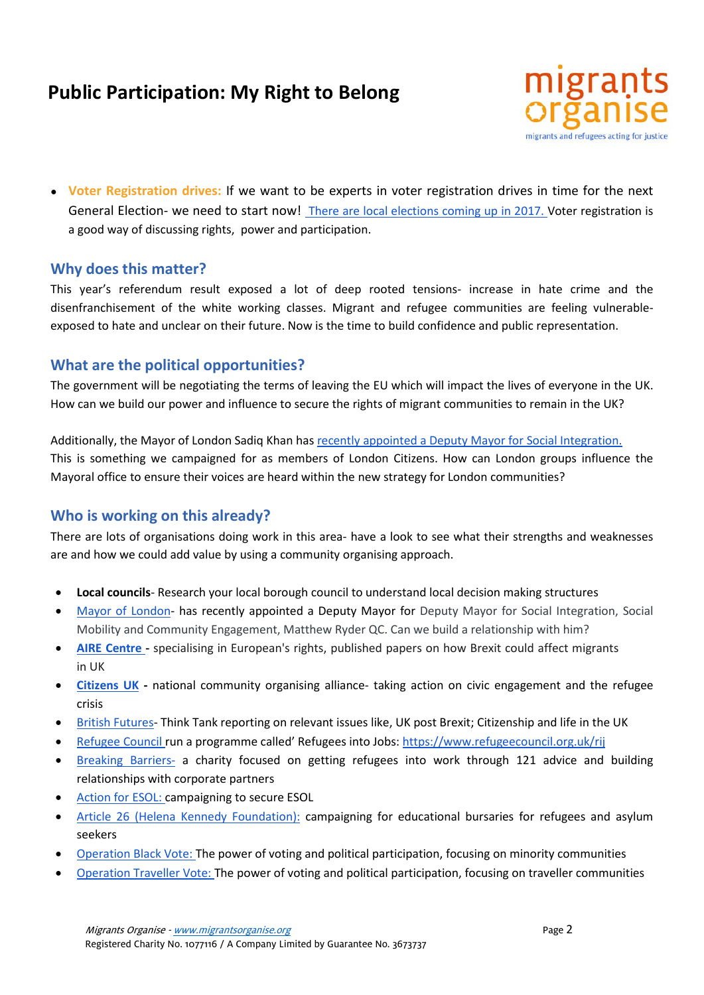# **Public Participation: My Right to Belong**



● **Voter Registration drives:** If we want to be experts in voter registration drives in time for the next General Election- we need to start now! [There are local elections coming up in 2017. V](http://www.electoralcommission.org.uk/find-information-by-subject/elections-and-referendums/upcoming-elections-and-referendums)oter registration is a good way of discussing rights, power and participation.

### **Why does this matter?**

This year's referendum result exposed a lot of deep rooted tensions- increase in hate crime and the disenfranchisement of the white working classes. Migrant and refugee communities are feeling vulnerableexposed to hate and unclear on their future. Now is the time to build confidence and public representation.

### **What are the political opportunities?**

The government will be negotiating the terms of leaving the EU which will impact the lives of everyone in the UK. How can we build our power and influence to secure the rights of migrant communities to remain in the UK?

Additionally, the Mayor of London Sadiq Khan has [recently appointed a Deputy Mayor for Social Integration.](https://www.london.gov.uk/press-releases/mayoral/mayor-appoints-deputy-mayor-for-social-integration)  This is something we campaigned for as members of London Citizens. How can London groups influence the Mayoral office to ensure their voices are heard within the new strategy for London communities?

### **Who is working on this already?**

There are lots of organisations doing work in this area- have a look to see what their strengths and weaknesses are and how we could add value by using a community organising approach.

- **Local councils** Research your local borough council to understand local decision making structures
- [Mayor of London-](https://www.london.gov.uk/) has recently appointed a Deputy Mayor for Deputy Mayor for Social Integration, Social Mobility and Community Engagement, Matthew Ryder QC. Can we build a relationship with him?
- **[AIRE Centre -](http://www.airecentre.org/)** specialising in European's rights, published papers on how Brexit could affect migrants in UK
- **[Citizens UK](http://www.citizensuk.org/) -** national community organising alliance- taking action on civic engagement and the refugee crisis
- [British Futures-](http://www.britishfuture.org/) Think Tank reporting on relevant issues like, UK post Brexit; Citizenship and life in the UK
- [Refugee Council r](https://www.refugeecouncil.org.uk/rij)un a programme called' Refugees into Jobs:<https://www.refugeecouncil.org.uk/rij>
- [Breaking Barriers-](http://www.breaking-barriers.co.uk/) a charity focused on getting refugees into work through 121 advice and building relationships with corporate partners
- [Action for ESOL: c](http://actionforesol.org/)ampaigning to secure ESOL
- [Article 26 \(Helena Kennedy Foundation\):](http://article26.hkf.org.uk/) campaigning for educational bursaries for refugees and asylum seekers
- [Operation Black Vote: T](http://www.obv.org.uk/)he power of voting and political participation, focusing on minority communities
- [Operation Traveller Vote: T](http://travellermovement.org.uk/index.php/campaigns/operation-traveller-vote/)he power of voting and political participation, focusing on traveller communities